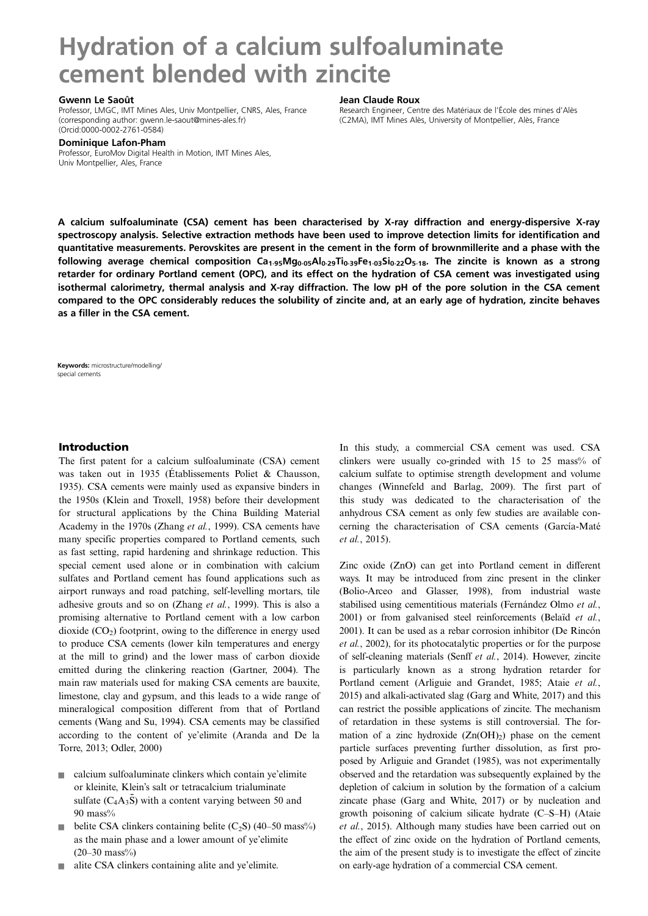# Hydration of a calcium sulfoaluminate cement blended with zincite

#### Gwenn Le Saoût

Professor, LMGC, IMT Mines Ales, Univ Montpellier, CNRS, Ales, France (corresponding author: [gwenn.le-saout@mines-ales.fr\)](mailto:gwenn.le-saout@mines-ales.fr) [\(Orcid:0000-0002-2761-0584\)](http://orcid.org/0000-0002-2761-0584)

#### Jean Claude Roux

Research Engineer, Centre des Matériaux de l'École des mines d'Alès (C2MA), IMT Mines Alès, University of Montpellier, Alès, France

Dominique Lafon-Pham

Professor, EuroMov Digital Health in Motion, IMT Mines Ales, Univ Montpellier, Ales, France

A calcium sulfoaluminate (CSA) cement has been characterised by X-ray diffraction and energy-dispersive X-ray spectroscopy analysis. Selective extractio[n](http://orcid.org/0000-0002-2761-0584) methods have been used to improve detection limits for identification and quantitative measurements. Perovskites are present in the cement in the form of brownmillerite and a phase with the following average chemical composition  $Ca_{1.95}Mg_{0.05}Al_{0.29}Ti_{0.39}Fe_{1.03}Si_{0.22}O_{5.18}$ . The zincite is known as a strong retarder for ordinary Portland cement (OPC), and its effect on the hydration of CSA cement was investigated using isothermal calorimetry, thermal analysis and X-ray diffraction. The low pH of the pore solution in the CSA cement compared to the OPC considerably reduces the solubility of zincite and, at an early age of hydration, zincite behaves as a filler in the CSA cement.

Keywords: microstructure/modelling/ special cements

# Introduction

The first patent for a calcium sulfoaluminate (CSA) cement was taken out in 1935 ([Établissements Poliet & Chausson,](#page-7-0) [1935\)](#page-7-0). CSA cements were mainly used as expansive binders in the 1950s ([Klein and Troxell, 1958\)](#page-7-0) before their development for structural applications by the China Building Material Academy in the 1970s ([Zhang](#page-8-0) et al., 1999). CSA cements have many specific properties compared to Portland cements, such as fast setting, rapid hardening and shrinkage reduction. This special cement used alone or in combination with calcium sulfates and Portland cement has found applications such as airport runways and road patching, self-levelling mortars, tile adhesive grouts and so on [\(Zhang](#page-8-0) et al., 1999). This is also a promising alternative to Portland cement with a low carbon dioxide  $(CO<sub>2</sub>)$  footprint, owing to the difference in energy used to produce CSA cements (lower kiln temperatures and energy at the mill to grind) and the lower mass of carbon dioxide emitted during the clinkering reaction ([Gartner, 2004\)](#page-7-0). The main raw materials used for making CSA cements are bauxite, limestone, clay and gypsum, and this leads to a wide range of mineralogical composition different from that of Portland cements [\(Wang and Su, 1994\)](#page-7-0). CSA cements may be classified according to the content of ye'elimite ([Aranda and De la](#page-6-0) [Torre, 2013;](#page-6-0) [Odler, 2000\)](#page-7-0)

- $\Box$  calcium sulfoaluminate clinkers which contain ye'elimite or kleinite, Klein's salt or tetracalcium trialuminate sulfate  $(C_4A_3\bar{S})$  with a content varying between 50 and  $90$  mass $\%$
- belite CSA clinkers containing belite  $(C_2S)$  (40–50 mass%) as the main phase and a lower amount of ye'elimite  $(20-30 \text{ mass})$ %
- $\blacksquare$  alite CSA clinkers containing alite and ye'elimite.

In this study, a commercial CSA cement was used. CSA clinkers were usually co-grinded with  $15$  to  $25$  mass% of calcium sulfate to optimise strength development and volume changes [\(Winnefeld and Barlag, 2009](#page-8-0)). The first part of this study was dedicated to the characterisation of the anhydrous CSA cement as only few studies are available concerning the characterisation of CSA cements [\(García-Maté](#page-7-0) et al.[, 2015\)](#page-7-0).

Zinc oxide (ZnO) can get into Portland cement in different ways. It may be introduced from zinc present in the clinker ([Bolio-Arceo and Glasser, 1998](#page-6-0)), from industrial waste stabilised using cementitious materials [\(Fernández Olmo](#page-7-0) et al., [2001\)](#page-7-0) or from galvanised steel reinforcements [\(Belaïd](#page-6-0) et al., [2001\)](#page-6-0). It can be used as a rebar corrosion inhibitor [\(De Rincón](#page-7-0) et al.[, 2002\)](#page-7-0), for its photocatalytic properties or for the purpose of self-cleaning materials (Senff et al.[, 2014](#page-7-0)). However, zincite is particularly known as a strong hydration retarder for Portland cement [\(Arliguie and Grandet, 1985](#page-6-0); Ataie [et al.](#page-6-0), [2015\)](#page-6-0) and alkali-activated slag ([Garg and White, 2017](#page-7-0)) and this can restrict the possible applications of zincite. The mechanism of retardation in these systems is still controversial. The formation of a zinc hydroxide  $(Zn(OH)_2)$  phase on the cement particle surfaces preventing further dissolution, as first proposed by [Arliguie and Grandet \(1985\)](#page-6-0), was not experimentally observed and the retardation was subsequently explained by the depletion of calcium in solution by the formation of a calcium zincate phase [\(Garg and White, 2017\)](#page-7-0) or by nucleation and growth poisoning of calcium silicate hydrate (C–S–H) [\(Ataie](#page-6-0) et al.[, 2015](#page-6-0)). Although many studies have been carried out on the effect of zinc oxide on the hydration of Portland cements, the aim of the present study is to investigate the effect of zincite on early-age hydration of a commercial CSA cement.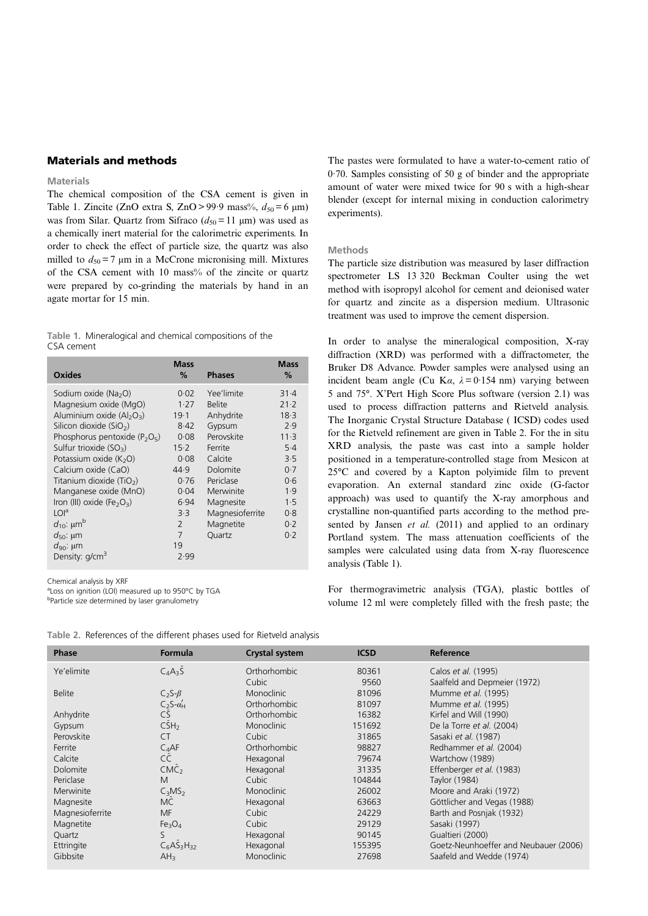# Materials and methods

#### Materials

The chemical composition of the CSA cement is given in Table 1. Zincite (ZnO extra S, ZnO > 99.9 mass%,  $d_{50} = 6 \text{ }\mu\text{m}$ ) was from Silar. Quartz from Sifraco  $(d_{50} = 11 \text{ }\mu\text{m})$  was used as a chemically inert material for the calorimetric experiments. In order to check the effect of particle size, the quartz was also milled to  $d_{50} = 7$  μm in a McCrone micronising mill. Mixtures of the CSA cement with 10 mass% of the zincite or quartz were prepared by co-grinding the materials by hand in an agate mortar for 15 min.

Table 1. Mineralogical and chemical compositions of the CSA cement

| Oxides                                             | <b>Mass</b><br>% | <b>Phases</b>   | <b>Mass</b><br>% |
|----------------------------------------------------|------------------|-----------------|------------------|
| Sodium oxide (Na <sub>2</sub> O)                   | 0.02             | Yee'limite      | 31.4             |
| Magnesium oxide (MgO)                              | 1.27             | <b>Belite</b>   | $21 - 2$         |
| Aluminium oxide $(Al_2O_3)$                        | 19.1             | Anhydrite       | 18.3             |
| Silicon dioxide (SiO <sub>2</sub> )                | 8.42             | Gypsum          | 2.9              |
| Phosphorus pentoxide ( $P_2O_5$ )                  | 0.08             | Perovskite      | $11-3$           |
| Sulfur trioxide $(SO_3)$                           | $15-2$           | Ferrite         | $5-4$            |
| Potassium oxide (K <sub>2</sub> O)                 | 0.08             | Calcite         | 3.5              |
| Calcium oxide (CaO)                                | 44.9             | Dolomite        | 0.7              |
| Titanium dioxide (TiO <sub>2</sub> )               | 0.76             | Periclase       | 0.6              |
| Manganese oxide (MnO)                              | 0.04             | Merwinite       | 1.9              |
| Iron (III) oxide (Fe <sub>2</sub> O <sub>3</sub> ) | 6.94             | Magnesite       | 1.5              |
| LOI <sup>a</sup>                                   | 3.3              | Magnesioferrite | 0.8              |
| $d_{10}$ : $\mu m^b$                               | $\overline{2}$   | Magnetite       | 0.2              |
| $d_{50}$ : µm                                      | 7                | Quartz          | 0.2              |
| $d_{90}$ : µm                                      | 19               |                 |                  |
| Density: g/cm <sup>3</sup>                         | 2.99             |                 |                  |

Chemical analysis by XRF

aLoss on ignition (LOI) measured up to 950°C by TGA

<sup>b</sup>Particle size determined by laser granulometry

The pastes were formulated to have a water-to-cement ratio of 0·70. Samples consisting of 50 g of binder and the appropriate amount of water were mixed twice for 90 s with a high-shear blender (except for internal mixing in conduction calorimetry experiments).

## Methods

The particle size distribution was measured by laser diffraction spectrometer LS 13 320 Beckman Coulter using the wet method with isopropyl alcohol for cement and deionised water for quartz and zincite as a dispersion medium. Ultrasonic treatment was used to improve the cement dispersion.

In order to analyse the mineralogical composition, X-ray diffraction (XRD) was performed with a diffractometer, the Bruker D8 Advance. Powder samples were analysed using an incident beam angle (Cu K $\alpha$ ,  $\lambda = 0.154$  nm) varying between 5 and 75°. X'Pert High Score Plus software (version 2.1) was used to process diffraction patterns and Rietveld analysis. The Inorganic Crystal Structure Database ( ICSD) codes used for the Rietveld refinement are given in Table 2. For the in situ XRD analysis, the paste was cast into a sample holder positioned in a temperature-controlled stage from Mesicon at 25°C and covered by a Kapton polyimide film to prevent evaporation. An external standard zinc oxide (G-factor approach) was used to quantify the X-ray amorphous and crystalline non-quantified parts according to the method pre-sented by [Jansen](#page-7-0) et al. (2011) and applied to an ordinary Portland system. The mass attenuation coefficients of the samples were calculated using data from X-ray fluorescence analysis (Table 1).

For thermogravimetric analysis (TGA), plastic bottles of volume 12 ml were completely filled with the fresh paste; the

| <b>Phase</b>    | <b>Formula</b>                 | <b>Crystal system</b> | <b>ICSD</b> | Reference                             |
|-----------------|--------------------------------|-----------------------|-------------|---------------------------------------|
| Ye'elimite      | $C_4A_3S$                      | Orthorhombic          | 80361       | Calos et al. (1995)                   |
|                 |                                | Cubic                 | 9560        | Saalfeld and Depmeier (1972)          |
| <b>Belite</b>   | $C_2S-\beta$                   | <b>Monoclinic</b>     | 81096       | Mumme et al. (1995)                   |
|                 | $C_2S-a'_H$                    | Orthorhombic          | 81097       | Mumme et al. (1995)                   |
| Anhydrite       | <b>CS</b>                      | Orthorhombic          | 16382       | Kirfel and Will (1990)                |
| Gypsum          | CSH <sub>2</sub>               | <b>Monoclinic</b>     | 151692      | De la Torre et al. (2004)             |
| Perovskite      | CT.                            | Cubic                 | 31865       | Sasaki et al. (1987)                  |
| Ferrite         | $C_4$ AF                       | Orthorhombic          | 98827       | Redhammer et al. (2004)               |
| Calcite         | CC                             | Hexagonal             | 79674       | Wartchow (1989)                       |
| Dolomite        | CMC <sub>2</sub>               | Hexagonal             | 31335       | Effenberger et al. (1983)             |
| Periclase       | M                              | Cubic                 | 104844      | Taylor (1984)                         |
| Merwinite       | $C_3MS_2$                      | <b>Monoclinic</b>     | 26002       | Moore and Araki (1972)                |
| Magnesite       | <b>MC</b>                      | Hexagonal             | 63663       | Göttlicher and Vegas (1988)           |
| Magnesioferrite | MF                             | Cubic                 | 24229       | Barth and Posnjak (1932)              |
| Magnetite       | Fe <sub>3</sub> O <sub>4</sub> | Cubic                 | 29129       | Sasaki (1997)                         |
| Quartz          | S                              | Hexagonal             | 90145       | Gualtieri (2000)                      |
| Ettringite      | $C6AS3H32$                     | Hexagonal             | 155395      | Goetz-Neunhoeffer and Neubauer (2006) |
| Gibbsite        | AH <sub>3</sub>                | <b>Monoclinic</b>     | 27698       | Saafeld and Wedde (1974)              |

Table 2. References of the different phases used for Rietveld analysis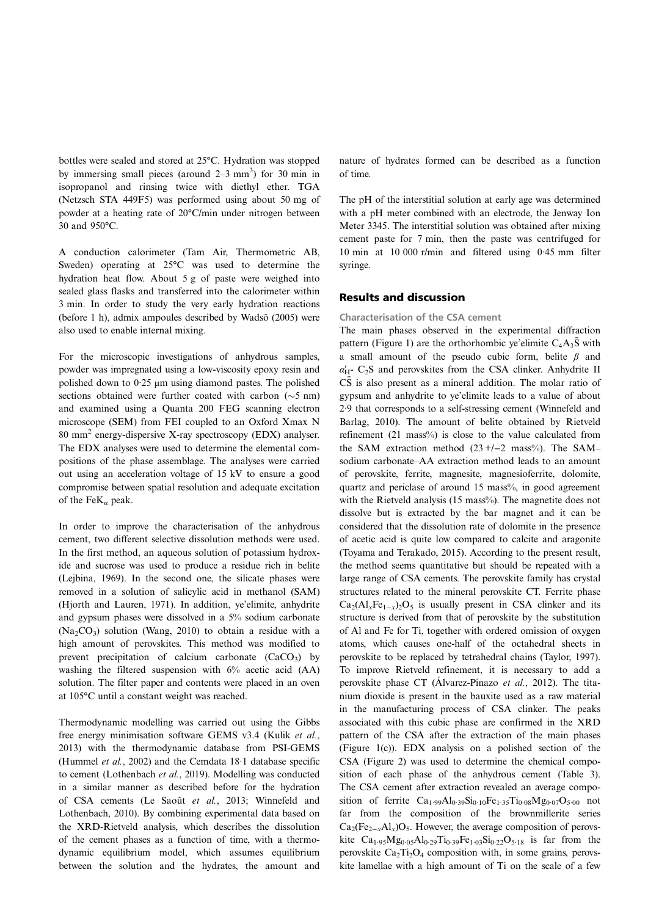bottles were sealed and stored at 25°C. Hydration was stopped by immersing small pieces (around  $2-3$  mm<sup>3</sup>) for 30 min in isopropanol and rinsing twice with diethyl ether. TGA (Netzsch STA 449F5) was performed using about 50 mg of powder at a heating rate of 20°C/min under nitrogen between 30 and 950°C.

A conduction calorimeter (Tam Air, Thermometric AB, Sweden) operating at 25°C was used to determine the hydration heat flow. About 5 g of paste were weighed into sealed glass flasks and transferred into the calorimeter within 3 min. In order to study the very early hydration reactions (before 1 h), admix ampoules described by [Wadsö \(2005\)](#page-7-0) were also used to enable internal mixing.

For the microscopic investigations of anhydrous samples, powder was impregnated using a low-viscosity epoxy resin and polished down to 0·25 μm using diamond pastes. The polished sections obtained were further coated with carbon  $(\sim 5 \text{ nm})$ and examined using a Quanta 200 FEG scanning electron microscope (SEM) from FEI coupled to an Oxford Xmax N 80 mm<sup>2</sup> energy-dispersive X-ray spectroscopy (EDX) analyser. The EDX analyses were used to determine the elemental compositions of the phase assemblage. The analyses were carried out using an acceleration voltage of 15 kV to ensure a good compromise between spatial resolution and adequate excitation of the Fe $K_{\alpha}$  peak.

In order to improve the characterisation of the anhydrous cement, two different selective dissolution methods were used. In the first method, an aqueous solution of potassium hydroxide and sucrose was used to produce a residue rich in belite ([Lejbina, 1969\)](#page-7-0). In the second one, the silicate phases were removed in a solution of salicylic acid in methanol (SAM) ([Hjorth and Lauren, 1971](#page-7-0)). In addition, ye'elimite, anhydrite and gypsum phases were dissolved in a 5% sodium carbonate  $(Na_2CO_3)$  solution ([Wang, 2010\)](#page-7-0) to obtain a residue with a high amount of perovskites. This method was modified to prevent precipitation of calcium carbonate  $(CaCO<sub>3</sub>)$  by washing the filtered suspension with  $6\%$  acetic acid (AA) solution. The filter paper and contents were placed in an oven at 105°C until a constant weight was reached.

Thermodynamic modelling was carried out using the Gibbs free energy minimisation software GEMS v3.4 ([Kulik](#page-7-0) et al., [2013\)](#page-7-0) with the thermodynamic database from PSI-GEMS ([Hummel](#page-7-0) et al., 2002) and the Cemdata 18·1 database specific to cement ([Lothenbach](#page-7-0) et al., 2019). Modelling was conducted in a similar manner as described before for the hydration of CSA cements [\(Le Saoût](#page-7-0) et al., 2013; [Winnefeld and](#page-8-0) [Lothenbach, 2010\)](#page-8-0). By combining experimental data based on the XRD-Rietveld analysis, which describes the dissolution of the cement phases as a function of time, with a thermodynamic equilibrium model, which assumes equilibrium between the solution and the hydrates, the amount and nature of hydrates formed can be described as a function of time.

The pH of the interstitial solution at early age was determined with a pH meter combined with an electrode, the Jenway Ion Meter 3345. The interstitial solution was obtained after mixing cement paste for 7 min, then the paste was centrifuged for 10 min at 10 000 r/min and filtered using 0·45 mm filter syringe.

## Results and discussion

Characterisation of the CSA cement

The main phases observed in the experimental diffraction pattern ([Figure 1](#page-3-0)) are the orthorhombic ye'elimite  $C_4A_3\bar{S}$  with a small amount of the pseudo cubic form, belite  $\beta$  and  $\alpha'_{H}$ - C<sub>2</sub>S and perovskites from the CSA clinker. Anhydrite II  $\overline{C}$  is also present as a mineral addition. The molar ratio of gypsum and anhydrite to ye'elimite leads to a value of about 2·9 that corresponds to a self-stressing cement ([Winnefeld and](#page-8-0) [Barlag, 2010\)](#page-8-0). The amount of belite obtained by Rietveld refinement (21 mass%) is close to the value calculated from the SAM extraction method  $(23 +/-2 \text{ mass}%)$ . The SAM– sodium carbonate–AA extraction method leads to an amount of perovskite, ferrite, magnesite, magnesioferrite, dolomite, quartz and periclase of around 15 mass%, in good agreement with the Rietveld analysis (15 mass%). The magnetite does not dissolve but is extracted by the bar magnet and it can be considered that the dissolution rate of dolomite in the presence of acetic acid is quite low compared to calcite and aragonite ([Toyama and Terakado, 2015](#page-7-0)). According to the present result, the method seems quantitative but should be repeated with a large range of CSA cements. The perovskite family has crystal structures related to the mineral perovskite CT. Ferrite phase  $Ca_2(Al_xFe_{1-x})_2O_5$  is usually present in CSA clinker and its structure is derived from that of perovskite by the substitution of Al and Fe for Ti, together with ordered omission of oxygen atoms, which causes one-half of the octahedral sheets in perovskite to be replaced by tetrahedral chains [\(Taylor, 1997\)](#page-7-0). To improve Rietveld refinement, it is necessary to add a perovskite phase CT ([Álvarez-Pinazo](#page-6-0) et al., 2012). The titanium dioxide is present in the bauxite used as a raw material in the manufacturing process of CSA clinker. The peaks associated with this cubic phase are confirmed in the XRD pattern of the CSA after the extraction of the main phases ([Figure 1\(c\)\)](#page-3-0). EDX analysis on a polished section of the CSA [\(Figure 2](#page-3-0)) was used to determine the chemical composition of each phase of the anhydrous cement ([Table 3\)](#page-4-0). The CSA cement after extraction revealed an average composition of ferrite  $Ca_{1.99}Al_{0.39}Si_{0.10}Fe_{1.35}Ti_{0.08}Mg_{0.07}O_{5.00}$  not far from the composition of the brownmillerite series  $Ca_2(Fe_{2-x}Al_x)O_5$ . However, the average composition of perovskite Ca<sub>1</sub>.<sub>95</sub>Mg<sub>0</sub>.<sub>05</sub>Al<sub>0</sub>.<sub>29</sub>Ti<sub>0</sub>.<sub>39</sub>Fe<sub>1</sub>.<sub>03</sub>Si<sub>0</sub>.<sub>22</sub>O<sub>5</sub>.<sub>18</sub> is far from the perovskite  $Ca<sub>2</sub>Ti<sub>2</sub>O<sub>4</sub>$  composition with, in some grains, perovskite lamellae with a high amount of Ti on the scale of a few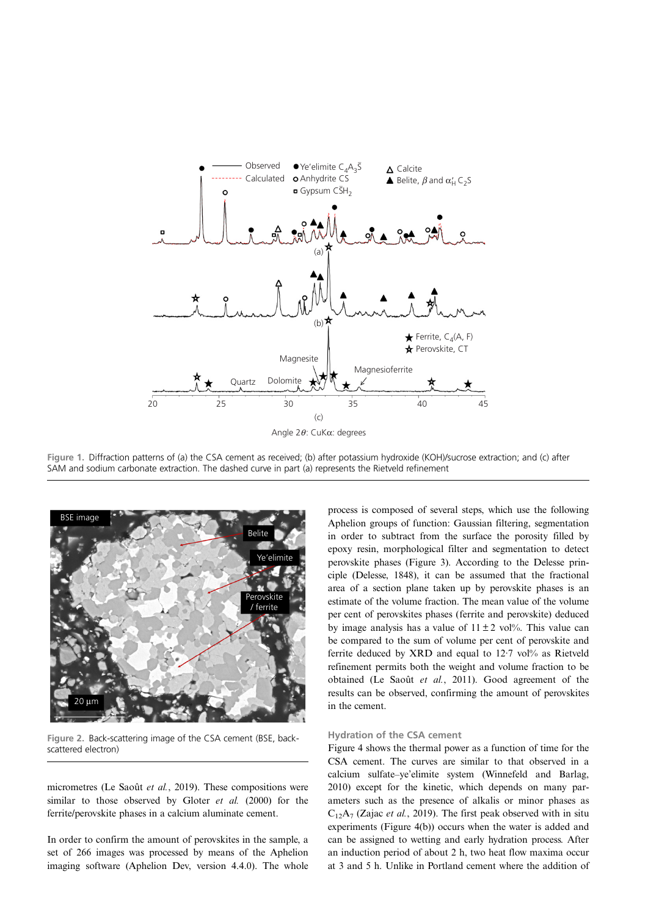<span id="page-3-0"></span>

Figure 1. Diffraction patterns of (a) the CSA cement as received; (b) after potassium hydroxide (KOH)/sucrose extraction; and (c) after SAM and sodium carbonate extraction. The dashed curve in part (a) represents the Rietveld refinement



Figure 2. Back-scattering image of the CSA cement (BSE, backscattered electron)

micrometres ([Le Saoût](#page-7-0) et al., 2019). These compositions were similar to those observed by [Gloter](#page-7-0) et al. (2000) for the ferrite/perovskite phases in a calcium aluminate cement.

In order to confirm the amount of perovskites in the sample, a set of 266 images was processed by means of the Aphelion imaging software (Aphelion Dev, version 4.4.0). The whole process is composed of several steps, which use the following Aphelion groups of function: Gaussian filtering, segmentation in order to subtract from the surface the porosity filled by epoxy resin, morphological filter and segmentation to detect perovskite phases ([Figure 3](#page-4-0)). According to the Delesse principle ([Delesse, 1848\)](#page-7-0), it can be assumed that the fractional area of a section plane taken up by perovskite phases is an estimate of the volume fraction. The mean value of the volume per cent of perovskites phases (ferrite and perovskite) deduced by image analysis has a value of  $11 \pm 2$  vol%. This value can be compared to the sum of volume per cent of perovskite and ferrite deduced by XRD and equal to  $12.7$  vol% as Rietveld refinement permits both the weight and volume fraction to be obtained [\(Le Saoût](#page-7-0) et al., 2011). Good agreement of the results can be observed, confirming the amount of perovskites in the cement.

#### Hydration of the CSA cement

[Figure 4](#page-4-0) shows the thermal power as a function of time for the CSA cement. The curves are similar to that observed in a calcium sulfate–ye'elimite system [\(Winnefeld and Barlag,](#page-8-0) [2010](#page-8-0)) except for the kinetic, which depends on many parameters such as the presence of alkalis or minor phases as  $C_{12}A_7$  (Zajac *et al.*[, 2019](#page-8-0)). The first peak observed with in situ experiments ([Figure 4\(b\)](#page-4-0)) occurs when the water is added and can be assigned to wetting and early hydration process. After an induction period of about 2 h, two heat flow maxima occur at 3 and 5 h. Unlike in Portland cement where the addition of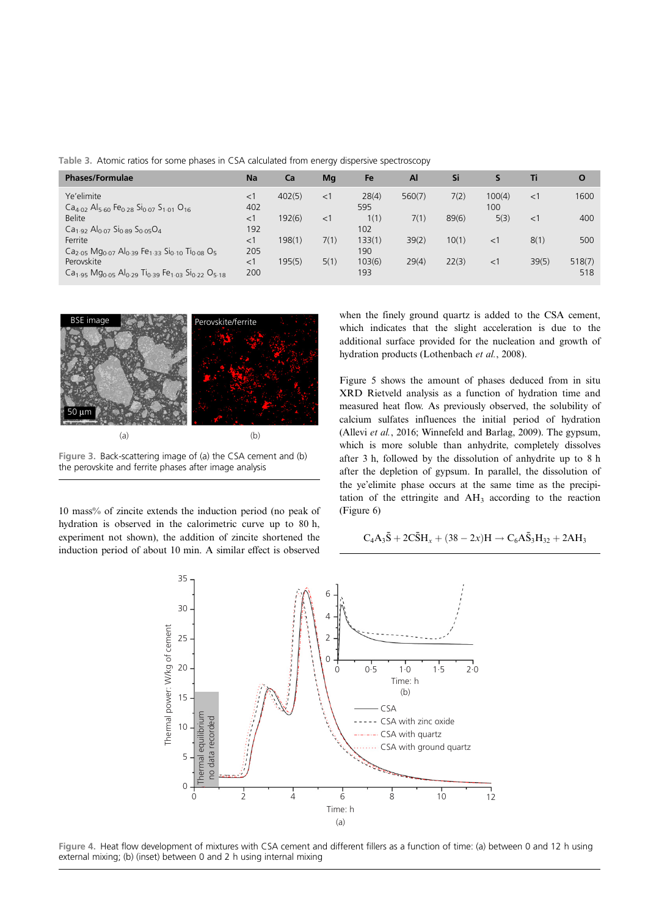| <b>Phases/Formulae</b>                                                                                                              | <b>Na</b>    | Ca     | Mg    | Fe           | Al     | Si    | S.            | Τi    | $\mathbf O$ |
|-------------------------------------------------------------------------------------------------------------------------------------|--------------|--------|-------|--------------|--------|-------|---------------|-------|-------------|
| Ye'elimite<br>$Ca4.02$ Al <sub>5-60</sub> Fe <sub>0-28</sub> Si <sub>0-07</sub> S <sub>1-01</sub> O <sub>16</sub>                   | $<$ 1<br>402 | 402(5) | $<$ 1 | 28(4)<br>595 | 560(7) | 7(2)  | 100(4)<br>100 | <1    | 1600        |
| <b>Belite</b>                                                                                                                       | $<$ 1        | 192(6) | $<$ 1 | 1(1)         | 7(1)   | 89(6) | 5(3)          | <1    | 400         |
| $Ca1.92 Al0.07 Si0.89 S0.05O4$                                                                                                      | 192          |        |       | 102          |        |       |               |       |             |
| Ferrite                                                                                                                             | $<$ 1        | 198(1) | 7(1)  | 133(1)       | 39(2)  | 10(1) | $<$ 1         | 8(1)  | 500         |
| Ca <sub>2.05</sub> Mg <sub>0.07</sub> Al <sub>0.39</sub> Fe <sub>1.33</sub> Si <sub>0.10</sub> Ti <sub>0.08</sub> O <sub>5</sub>    | 205          |        |       | 190          |        |       |               |       |             |
| Perovskite                                                                                                                          | $<$ 1        | 195(5) | 5(1)  | 103(6)       | 29(4)  | 22(3) | $<$ 1         | 39(5) | 518(7)      |
| Ca <sub>1.95</sub> Mg <sub>0.05</sub> Al <sub>0.29</sub> Ti <sub>0.39</sub> Fe <sub>1.03</sub> Si <sub>0.22</sub> O <sub>5.18</sub> | 200          |        |       | 193          |        |       |               |       | 518         |

<span id="page-4-0"></span>Table 3. Atomic ratios for some phases in CSA calculated from energy dispersive spectroscopy



Figure 3. Back-scattering image of (a) the CSA cement and (b) the perovskite and ferrite phases after image analysis

10 mass% of zincite extends the induction period (no peak of hydration is observed in the calorimetric curve up to 80 h, experiment not shown), the addition of zincite shortened the induction period of about 10 min. A similar effect is observed

when the finely ground quartz is added to the CSA cement, which indicates that the slight acceleration is due to the additional surface provided for the nucleation and growth of hydration products ([Lothenbach](#page-7-0) et al., 2008).

[Figure 5](#page-5-0) shows the amount of phases deduced from in situ XRD Rietveld analysis as a function of hydration time and measured heat flow. As previously observed, the solubility of calcium sulfates influences the initial period of hydration (Allevi et al.[, 2016](#page-6-0); [Winnefeld and Barlag, 2009](#page-8-0)). The gypsum, which is more soluble than anhydrite, completely dissolves after 3 h, followed by the dissolution of anhydrite up to 8 h after the depletion of gypsum. In parallel, the dissolution of the ye'elimite phase occurs at the same time as the precipitation of the ettringite and  $AH_3$  according to the reaction ([Figure 6\)](#page-5-0)

$$
C_4A_3\bar{S}+2C\bar{S}H_{x}+(38-2x)H\to C_6A\bar{S}_3H_{32}+2AH_3
$$



Figure 4. Heat flow development of mixtures with CSA cement and different fillers as a function of time: (a) between 0 and 12 h using external mixing; (b) (inset) between 0 and 2 h using internal mixing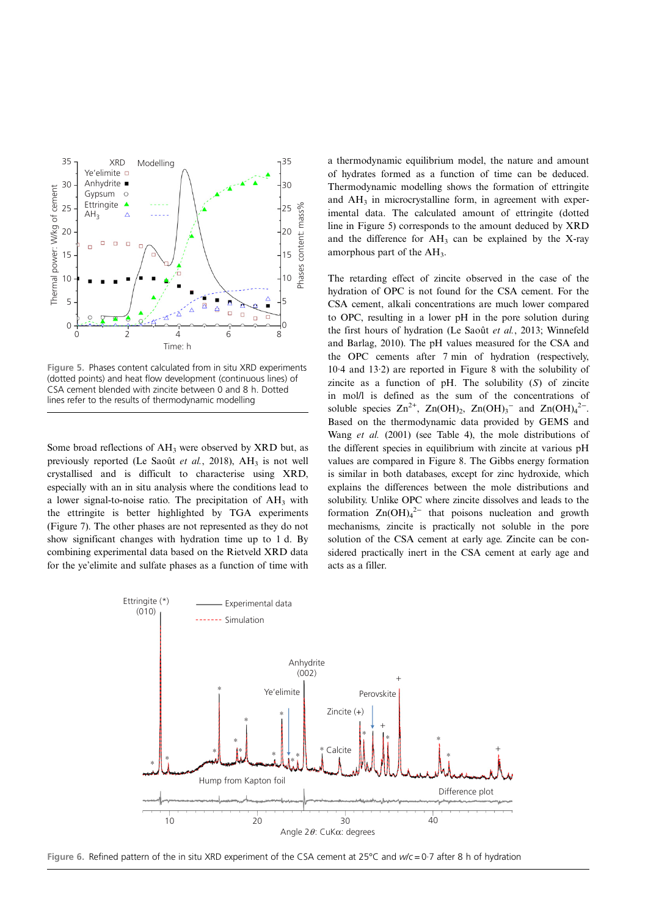<span id="page-5-0"></span>

Figure 5. Phases content calculated from in situ XRD experiments (dotted points) and heat flow development (continuous lines) of CSA cement blended with zincite between 0 and 8 h. Dotted lines refer to the results of thermodynamic modelling

Some broad reflections of AH<sub>3</sub> were observed by XRD but, as previously reported [\(Le Saoût](#page-7-0) et al., 2018),  $AH_3$  is not well crystallised and is difficult to characterise using XRD, especially with an in situ analysis where the conditions lead to a lower signal-to-noise ratio. The precipitation of  $AH<sub>3</sub>$  with the ettringite is better highlighted by TGA experiments [\(Figure 7](#page-6-0)). The other phases are not represented as they do not show significant changes with hydration time up to 1 d. By combining experimental data based on the Rietveld XRD data for the ye'elimite and sulfate phases as a function of time with

a thermodynamic equilibrium model, the nature and amount of hydrates formed as a function of time can be deduced. Thermodynamic modelling shows the formation of ettringite and  $AH<sub>3</sub>$  in microcrystalline form, in agreement with experimental data. The calculated amount of ettringite (dotted line in Figure 5) corresponds to the amount deduced by XRD and the difference for  $AH_3$  can be explained by the X-ray amorphous part of the AH3.

The retarding effect of zincite observed in the case of the hydration of OPC is not found for the CSA cement. For the CSA cement, alkali concentrations are much lower compared to OPC, resulting in a lower pH in the pore solution during the first hours of hydration ([Le Saoût](#page-7-0) et al., 2013; [Winnefeld](#page-8-0) [and Barlag, 2010\)](#page-8-0). The pH values measured for the CSA and the OPC cements after 7 min of hydration (respectively, 10·4 and 13·2) are reported in [Figure 8](#page-6-0) with the solubility of zincite as a function of  $pH$ . The solubility  $(S)$  of zincite in mol/l is defined as the sum of the concentrations of soluble species  $\text{Zn}^{2+}$ ,  $\text{Zn}(\text{OH})_2$ ,  $\text{Zn}(\text{OH})_3$ <sup>-</sup> and  $\text{Zn}(\text{OH})_4$ <sup>2-</sup>. Based on the thermodynamic data provided by GEMS and Wang et al. [\(2001\)](#page-8-0) (see [Table 4](#page-6-0)), the mole distributions of the different species in equilibrium with zincite at various pH values are compared in [Figure 8](#page-6-0). The Gibbs energy formation is similar in both databases, except for zinc hydroxide, which explains the differences between the mole distributions and solubility. Unlike OPC where zincite dissolves and leads to the formation  $\text{Zn}(\text{OH})_4^{2-}$  that poisons nucleation and growth mechanisms, zincite is practically not soluble in the pore solution of the CSA cement at early age. Zincite can be considered practically inert in the CSA cement at early age and acts as a filler.



Figure 6. Refined pattern of the in situ XRD experiment of the CSA cement at 25°C and w/c = 0·7 after 8 h of hydration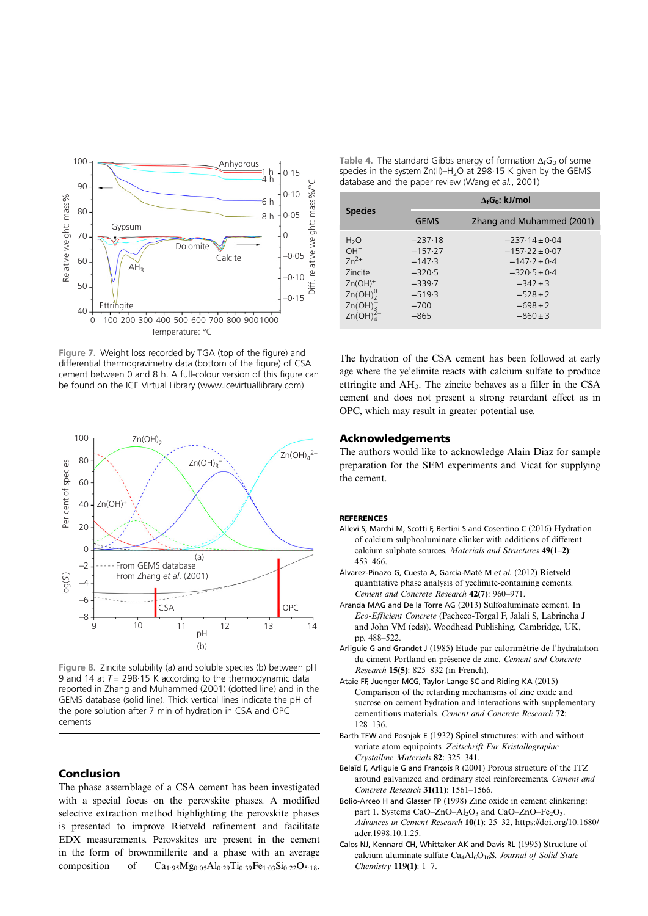<span id="page-6-0"></span>

Figure 7. Weight loss recorded by TGA (top of the figure) and differential thermogravimetry data (bottom of the figure) of CSA cement between 0 and 8 h. A full-colour version of this figure can be found on the ICE Virtual Library [\(www.icevirtuallibrary.com\)](http://www.icevirtuallibrary.com)



Figure 8. Zincite solubility (a) and soluble species (b) between pH 9 and 14 at  $T = 298.15$  K according to the thermodynamic data reported in [Zhang and Muhammed \(2001\)](#page-8-0) (dotted line) and in the GEMS database (solid line). Thick vertical lines indicate the pH of the pore solution after 7 min of hydration in CSA and OPC cements

## Conclusion

The phase assemblage of a CSA cement has been investigated with a special focus on the perovskite phases. A modified selective extraction method highlighting the perovskite phases is presented to improve Rietveld refinement and facilitate EDX measurements. Perovskites are present in the cement in the form of brownmillerite and a phase with an average composition of  $Ca_{1.95}Mg_{0.05}Al_{0.29}Ti_{0.39}Fe_{1.03}Si_{0.22}O_{5.18}$ .

Table 4. The standard Gibbs energy of formation  $\Delta_f G_0$  of some species in the system  $Zn(II)$ –H<sub>2</sub>O at 298·15 K given by the GEMS database and the paper review (Wang et al.[, 2001\)](#page-8-0)

|                                                                                                                                       | $\Delta_f G_0$ : kJ/mol                                                                    |                                                                                                                                                  |  |  |  |
|---------------------------------------------------------------------------------------------------------------------------------------|--------------------------------------------------------------------------------------------|--------------------------------------------------------------------------------------------------------------------------------------------------|--|--|--|
| <b>Species</b>                                                                                                                        | <b>GEMS</b>                                                                                | Zhang and Muhammed (2001)                                                                                                                        |  |  |  |
| H <sub>2</sub> O<br>$OH^-$<br>$7n^{2+}$<br>Zincite<br>$Zn(OH)^+$<br>Zn(OH) <sub>2</sub> <sup>0</sup><br>Zn(OH) <sub>3</sub><br>Zn(OH) | $-237.18$<br>$-157.27$<br>$-147.3$<br>$-320.5$<br>$-339.7$<br>$-519.3$<br>$-700$<br>$-865$ | $-237.14 \pm 0.04$<br>$-157.22 \pm 0.07$<br>$-147.2 \pm 0.4$<br>$-320.5 \pm 0.4$<br>$-342 \pm 3$<br>$-528 \pm 2$<br>$-698 \pm 2$<br>$-860 \pm 3$ |  |  |  |

The hydration of the CSA cement has been followed at early age where the ye'elimite reacts with calcium sulfate to produce ettringite and AH3. The zincite behaves as a filler in the CSA cement and does not present a strong retardant effect as in OPC, which may result in greater potential use.

## Acknowledgements

The authors would like to acknowledge Alain Diaz for sample preparation for the SEM experiments and Vicat for supplying the cement.

#### **REFERENCES**

- Allevi S, Marchi M, Scotti F, Bertini S and Cosentino C (2016) Hydration of calcium sulphoaluminate clinker with additions of different calcium sulphate sources. Materials and Structures 49(1–2): 453–466.
- Álvarez-Pinazo G, Cuesta A, García-Maté M et al. (2012) Rietveld quantitative phase analysis of yeelimite-containing cements. Cement and Concrete Research 42(7): 960–971.
- Aranda MAG and De la Torre AG (2013) Sulfoaluminate cement. In Eco-Efficient Concrete (Pacheco-Torgal F, Jalali S, Labrincha J and John VM (eds)). Woodhead Publishing, Cambridge, UK, pp. 488–522.
- Arliguie G and Grandet J (1985) Etude par calorimétrie de l'hydratation du ciment Portland en présence de zinc. Cement and Concrete Research 15(5): 825–832 (in French).
- Ataie FF, Juenger MCG, Taylor-Lange SC and Riding KA (2015) Comparison of the retarding mechanisms of zinc oxide and sucrose on cement hydration and interactions with supplementary cementitious materials. Cement and Concrete Research 72: 128–136.
- Barth TFW and Posnjak E (1932) Spinel structures: with and without variate atom equipoints. Zeitschrift Für Kristallographie – Crystalline Materials 82: 325–341.
- Belaïd F, Arliguie G and François R (2001) Porous structure of the ITZ around galvanized and ordinary steel reinforcements. Cement and Concrete Research 31(11): 1561–1566.
- Bolio-Arceo H and Glasser FP (1998) Zinc oxide in cement clinkering: part 1. Systems CaO–ZnO–Al<sub>2</sub>O<sub>3</sub> and CaO–ZnO–Fe<sub>2</sub>O<sub>3</sub>. Advances in Cement Research 10(1): 25–32, [https://doi.org/10.1680/](https://doi.org/10.1680/adcr.1998.10.1.25) [adcr.1998.10.1.25.](https://doi.org/10.1680/adcr.1998.10.1.25)
- Calos NJ, Kennard CH, Whittaker AK and Davis RL (1995) Structure of calcium aluminate sulfate  $Ca<sub>4</sub>Al<sub>6</sub>O<sub>16</sub>S$ . Journal of Solid State Chemistry 119(1): 1–7.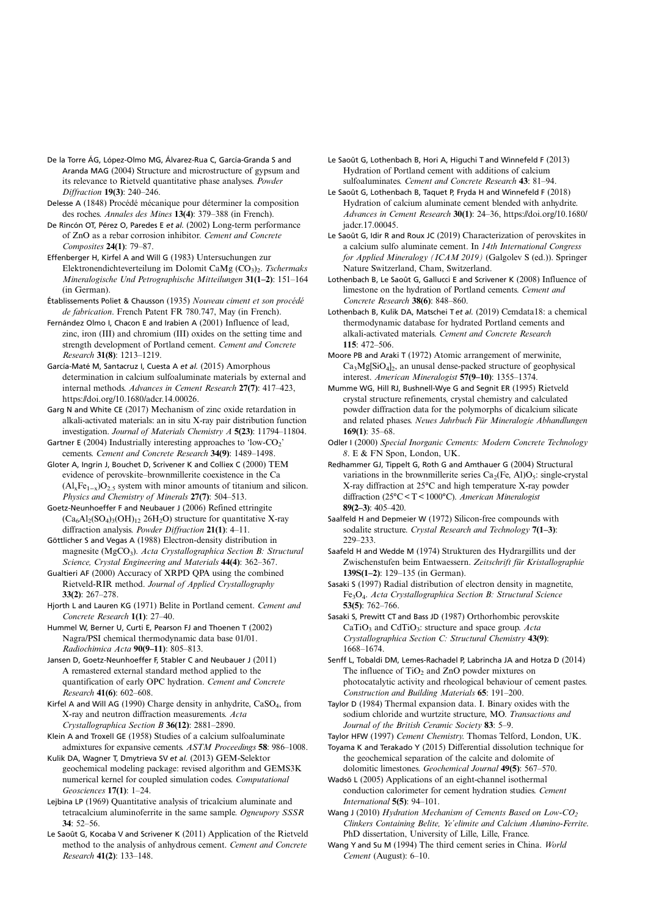- <span id="page-7-0"></span>De la Torre ÁG, López-Olmo MG, Álvarez-Rua C, García-Granda S and Aranda MAG (2004) Structure and microstructure of gypsum and its relevance to Rietveld quantitative phase analyses. Powder Diffraction 19(3): 240–246.
- Delesse A (1848) Procédé mécanique pour déterminer la composition des roches. Annales des Mines 13(4): 379–388 (in French).
- De Rincón OT, Pérez O, Paredes E et al. (2002) Long-term performance of ZnO as a rebar corrosion inhibitor. Cement and Concrete Composites 24(1): 79–87.
- Effenberger H, Kirfel A and Will G (1983) Untersuchungen zur Elektronendichteverteilung im Dolomit CaMg (CO<sub>3</sub>)<sub>2</sub>. Tschermaks Mineralogische Und Petrographische Mitteilungen 31(1–2): 151–164 (in German).
- Établissements Poliet & Chausson (1935) Nouveau ciment et son procédé de fabrication. French Patent FR 780.747, May (in French).
- Fernández Olmo I, Chacon E and Irabien A (2001) Influence of lead, zinc, iron (III) and chromium (III) oxides on the setting time and strength development of Portland cement. Cement and Concrete Research 31(8): 1213–1219.
- García-Maté M, Santacruz I, Cuesta A et al. (2015) Amorphous determination in calcium sulfoaluminate materials by external and internal methods. Advances in Cement Research 27(7): 417–423, [https://doi.org/10.1680/adcr.14.00026.](https://doi.org/10.1680/adcr.14.00026)
- Garg N and White CE (2017) Mechanism of zinc oxide retardation in alkali-activated materials: an in situ X-ray pair distribution function investigation. Journal of Materials Chemistry A 5(23): 11794–11804.
- Gartner E (2004) Industrially interesting approaches to 'low- $CO_2$ ' cements. Cement and Concrete Research 34(9): 1489–1498.
- Gloter A, Ingrin J, Bouchet D, Scrivener K and Colliex C (2000) TEM evidence of perovskite–brownmillerite coexistence in the Ca  $(Al_xFe_{1-x})O_{2.5}$  system with minor amounts of titanium and silicon. Physics and Chemistry of Minerals 27(7): 504–513.
- Goetz-Neunhoeffer F and Neubauer J (2006) Refined ettringite  $(Ca<sub>6</sub>Al<sub>2</sub>(SO<sub>4</sub>)<sub>3</sub>(OH)<sub>12</sub> 26H<sub>2</sub>O)$  structure for quantitative X-ray diffraction analysis. Powder Diffraction 21(1): 4-11.
- Göttlicher S and Vegas A (1988) Electron-density distribution in magnesite (MgCO<sub>3</sub>). Acta Crystallographica Section B: Structural Science, Crystal Engineering and Materials 44(4): 362–367.
- Gualtieri AF (2000) Accuracy of XRPD QPA using the combined Rietveld-RIR method. Journal of Applied Crystallography 33(2): 267–278.
- Hjorth L and Lauren KG (1971) Belite in Portland cement. Cement and Concrete Research 1(1): 27–40.
- Hummel W, Berner U, Curti E, Pearson FJ and Thoenen T (2002) Nagra/PSI chemical thermodynamic data base 01/01. Radiochimica Acta 90(9–11): 805–813.
- Jansen D, Goetz-Neunhoeffer F, Stabler C and Neubauer J (2011) A remastered external standard method applied to the quantification of early OPC hydration. Cement and Concrete Research 41(6): 602–608.
- Kirfel A and Will AG (1990) Charge density in anhydrite, CaSO<sub>4</sub>, from X-ray and neutron diffraction measurements. Acta Crystallographica Section B 36(12): 2881–2890.
- Klein A and Troxell GE (1958) Studies of a calcium sulfoaluminate admixtures for expansive cements. ASTM Proceedings 58: 986–1008.
- Kulik DA, Wagner T, Dmytrieva SV et al. (2013) GEM-Selektor geochemical modeling package: revised algorithm and GEMS3K numerical kernel for coupled simulation codes. Computational Geosciences 17(1): 1–24.
- Lejbina LP (1969) Quantitative analysis of tricalcium aluminate and tetracalcium aluminoferrite in the same sample. Ogneupory SSSR 34: 52–56.
- Le Saoût G, Kocaba V and Scrivener K (2011) Application of the Rietveld method to the analysis of anhydrous cement. Cement and Concrete Research 41(2): 133–148.
- Le Saoût G, Lothenbach B, Hori A, Higuchi T and Winnefeld F (2013) Hydration of Portland cement with additions of calcium sulfoaluminates. Cement and Concrete Research 43: 81–94.
- Le Saoût G, Lothenbach B, Taquet P, Fryda H and Winnefeld F (2018) Hydration of calcium aluminate cement blended with anhydrite. Advances in Cement Research 30(1): 24–36, [https://doi.org/10.1680/](https://doi.org/10.1680/jadcr.17.00045) [jadcr.17.00045](https://doi.org/10.1680/jadcr.17.00045).
- Le Saoût G, Idir R and Roux JC (2019) Characterization of perovskites in a calcium sulfo aluminate cement. In 14th International Congress for Applied Mineralogy (ICAM 2019) (Galgolev S (ed.)). Springer Nature Switzerland, Cham, Switzerland.
- Lothenbach B, Le Saoût G, Gallucci E and Scrivener K (2008) Influence of limestone on the hydration of Portland cements. Cement and Concrete Research 38(6): 848–860.
- Lothenbach B, Kulik DA, Matschei T et al. (2019) Cemdata18: a chemical thermodynamic database for hydrated Portland cements and alkali-activated materials. Cement and Concrete Research 115: 472–506.
- Moore PB and Araki T (1972) Atomic arrangement of merwinite,  $Ca<sub>3</sub>Mg[SiO<sub>4</sub>]$ <sub>2</sub>, an unusal dense-packed structure of geophysical interest. American Mineralogist 57(9–10): 1355–1374.
- Mumme WG, Hill RJ, Bushnell-Wye G and Segnit ER (1995) Rietveld crystal structure refinements, crystal chemistry and calculated powder diffraction data for the polymorphs of dicalcium silicate and related phases. Neues Jahrbuch Für Mineralogie Abhandlungen  $169(1)$ : 35–68.
- Odler I (2000) Special Inorganic Cements: Modern Concrete Technology 8. E & FN Spon, London, UK.
- Redhammer GJ, Tippelt G, Roth G and Amthauer G (2004) Structural variations in the brownmillerite series  $Ca_2(Fe, Al)O_5$ : single-crystal X-ray diffraction at 25°C and high temperature X-ray powder diffraction (25°C < T < 1000°C). American Mineralogist 89(2–3): 405–420.
- Saalfeld H and Depmeier W (1972) Silicon-free compounds with sodalite structure. Crystal Research and Technology 7(1-3): 229–233.
- Saafeld H and Wedde M (1974) Strukturen des Hydrargillits und der Zwischenstufen beim Entwaessern. Zeitschrift für Kristallographie 139S(1–2): 129–135 (in German).
- Sasaki S (1997) Radial distribution of electron density in magnetite, Fe3O4. Acta Crystallographica Section B: Structural Science 53(5): 762–766.
- Sasaki S, Prewitt CT and Bass JD (1987) Orthorhombic perovskite  $CaTiO<sub>3</sub>$  and  $CdTiO<sub>3</sub>$ : structure and space group. Acta Crystallographica Section C: Structural Chemistry 43(9): 1668–1674.
- Senff L, Tobaldi DM, Lemes-Rachadel P, Labrincha JA and Hotza D (2014) The influence of  $TiO<sub>2</sub>$  and  $ZnO$  powder mixtures on photocatalytic activity and rheological behaviour of cement pastes. Construction and Building Materials 65: 191–200.
- Taylor D (1984) Thermal expansion data. I. Binary oxides with the sodium chloride and wurtzite structure, MO. Transactions and Journal of the British Ceramic Society 83: 5-9.
- Taylor HFW (1997) Cement Chemistry. Thomas Telford, London, UK.
- Toyama K and Terakado Y (2015) Differential dissolution technique for the geochemical separation of the calcite and dolomite of dolomitic limestones. Geochemical Journal 49(5): 567–570.
- Wadsö L (2005) Applications of an eight-channel isothermal conduction calorimeter for cement hydration studies. Cement International 5(5): 94–101.
- Wang J (2010) Hydration Mechanism of Cements Based on Low-CO<sub>2</sub> Clinkers Containing Belite, Ye'elimite and Calcium Alumino-Ferrite. PhD dissertation, University of Lille, Lille, France.
- Wang Y and Su M (1994) The third cement series in China. World Cement (August): 6–10.